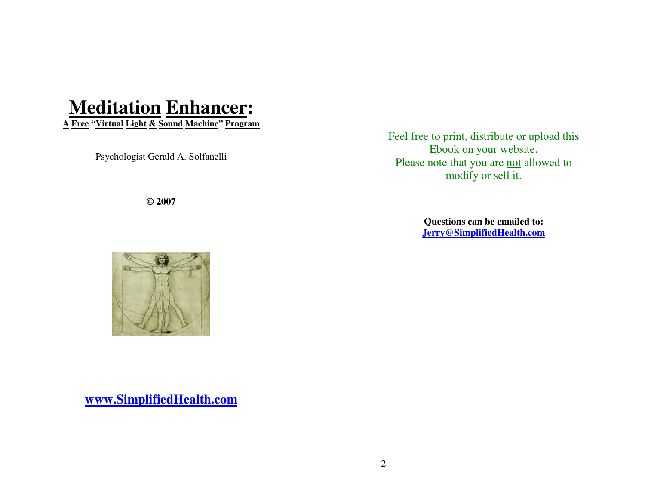# **Meditation Enhancer:**

**A Free "Virtual Light & Sound Machine" Program**

Psychologist Gerald A. Solfanelli

**© 2007** 

Feel free to print, distribute or upload this Ebook on your website. Please note that you are not allowed to modify or sell it.

> **Questions can be emailed to: Jerry@SimplifiedHealth.com**

**www.SimplifiedHealth.com**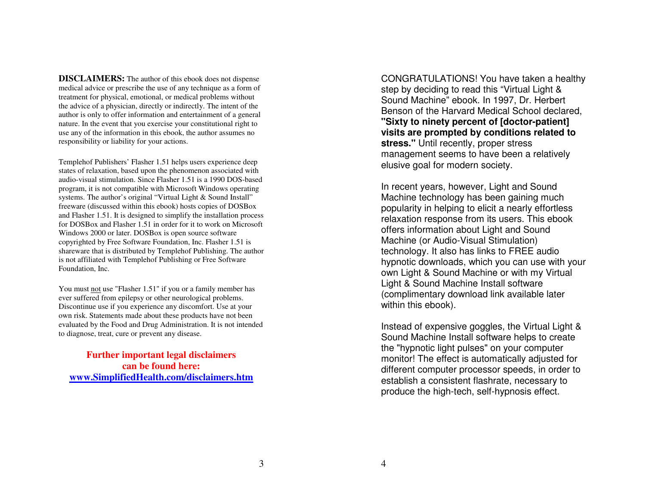**DISCLAIMERS:** The author of this ebook does not dispense medical advice or prescribe the use of any technique as a form of treatment for physical, emotional, or medical problems without the advice of a physician, directly or indirectly. The intent of the author is only to offer information and entertainment of a general nature. In the event that you exercise your constitutional right to use any of the information in this ebook, the author assumes no responsibility or liability for your actions.

Templehof Publishers' Flasher 1.51 helps users experience deep states of relaxation, based upon the phenomenon associated with audio-visual stimulation. Since Flasher 1.51 is a 1990 DOS-based program, it is not compatible with Microsoft Windows operating systems. The author's original "Virtual Light & Sound Install" freeware (discussed within this ebook) hosts copies of DOSBox and Flasher 1.51. It is designed to simplify the installation process for DOSBox and Flasher 1.51 in order for it to work on Microsoft Windows 2000 or later. DOSBox is open source software copyrighted by Free Software Foundation, Inc. Flasher 1.51 is shareware that is distributed by Templehof Publishing. The author is not affiliated with Templehof Publishing or Free Software Foundation, Inc.

You must not use "Flasher 1.51" if you or a family member has ever suffered from epilepsy or other neurological problems. Discontinue use if you experience any discomfort. Use at your own risk. Statements made about these products have not been evaluated by the Food and Drug Administration. It is not intended to diagnose, treat, cure or prevent any disease.

**Further important legal disclaimers can be found here: www.SimplifiedHealth.com/disclaimers.htm** CONGRATULATIONS! You have taken a healthy step by deciding to read this "Virtual Light & Sound Machine" ebook. In 1997, Dr. Herbert Benson of the Harvard Medical School declared, **"Sixty to ninety percent of [doctor-patient] visits are prompted by conditions related to stress."** Until recently, proper stress management seems to have been a relatively elusive goal for modern society.

In recent years, however, Light and Sound Machine technology has been gaining much popularity in helping to elicit a nearly effortless relaxation response from its users. This ebook offers information about Light and Sound Machine (or Audio-Visual Stimulation) technology. It also has links to FREE audio hypnotic downloads, which you can use with your own Light & Sound Machine or with my Virtual Light & Sound Machine Install software (complimentary download link available later within this ebook).

Instead of expensive goggles, the Virtual Light & Sound Machine Install software helps to create the "hypnotic light pulses" on your computer monitor! The effect is automatically adjusted for different computer processor speeds, in order to establish a consistent flashrate, necessary to produce the high-tech, self-hypnosis effect.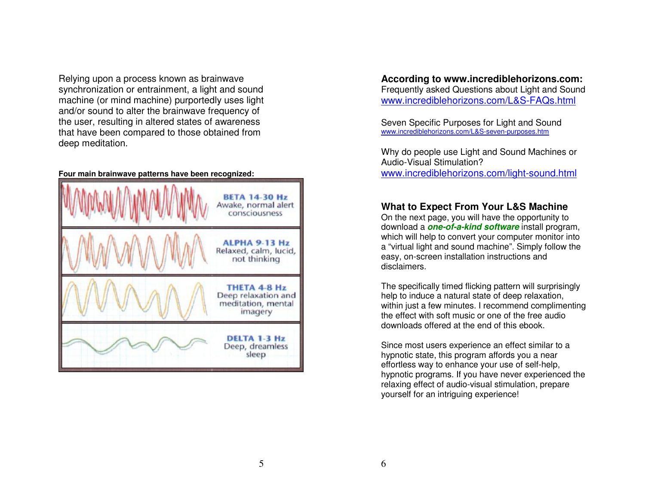Relying upon a process known as brainwave synchronization or entrainment, a light and sound machine (or mind machine) purportedly uses light and/or sound to alter the brainwave frequency of the user, resulting in altered states of awareness that have been compared to those obtained from deep meditation.

#### **Four main brainwave patterns have been recognized:**



#### **According to www.incrediblehorizons.com:**  Frequently asked Questions about Light and Sound www.incrediblehorizons.com/L&S-FAQs.html

Seven Specific Purposes for Light and Sound www.incrediblehorizons.com/L&S-seven-purposes.htm

Why do people use Light and Sound Machines or Audio-Visual Stimulation? www.incrediblehorizons.com/light-sound.html

#### **What to Expect From Your L&S Machine**

 On the next page, you will have the opportunity to download a **one-of-a-kind software** install program, which will help to convert your computer monitor into a "virtual light and sound machine". Simply follow the easy, on-screen installation instructions and disclaimers.

The specifically timed flicking pattern will surprisingly help to induce a natural state of deep relaxation, within just a few minutes. I recommend complimenting the effect with soft music or one of the free audiodownloads offered at the end of this ebook.

Since most users experience an effect similar to a hypnotic state, this program affords you a near effortless way to enhance your use of self-help, hypnotic programs. If you have never experienced the relaxing effect of audio-visual stimulation, prepare yourself for an intriguing experience!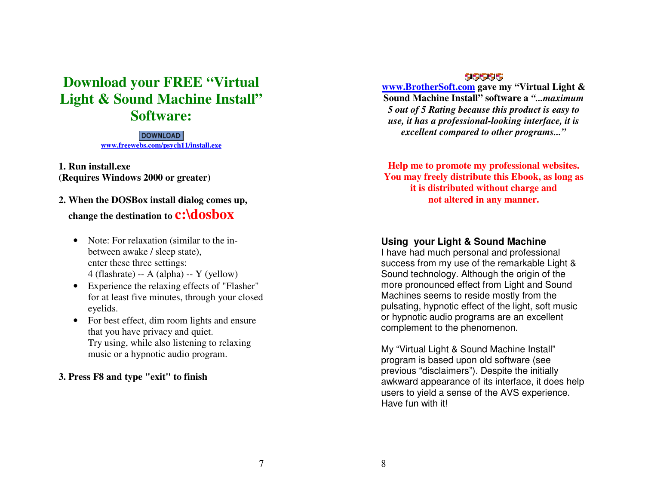# **Download your FREE "Virtual Light & Sound Machine Install" Software:**

**DOWNLOAD www.freewebs.com/psych11/install.exe**

**1. Run install.exe (Requires Windows 2000 or greater)**

# **2. When the DOSBox install dialog comes up, change the destination to c:\dosbox**

- Note: For relaxation (similar to the inbetween awake / sleep state), enter these three settings: 4 (flashrate) -- A (alpha) -- Y (yellow)
- Experience the relaxing effects of "Flasher" for at least five minutes, through your closed eyelids.
- For best effect, dim room lights and ensure that you have privacy and quiet. Try using, while also listening to relaxing music or a hypnotic audio program.

#### **3. Press F8 and type "exit" to finish**

#### 99999

**www.BrotherSoft.com gave my "Virtual Light & Sound Machine Install" software a** *"...maximum 5 out of 5 Rating because this product is easy to use, it has a professional-looking interface, it isexcellent compared to other programs..."*

**Help me to promote my professional websites. You may freely distribute this Ebook, as long as it is distributed without charge and not altered in any manner.** 

# **Using your Light & Sound Machine**

 I have had much personal and professional success from my use of the remarkable Light & Sound technology. Although the origin of the more pronounced effect from Light and Sound Machines seems to reside mostly from the pulsating, hypnotic effect of the light, soft musicor hypnotic audio programs are an excellent complement to the phenomenon.

My "Virtual Light & Sound Machine Install" program is based upon old software (see previous "disclaimers"). Despite the initially awkward appearance of its interface, it does help users to yield a sense of the AVS experience. Have fun with it!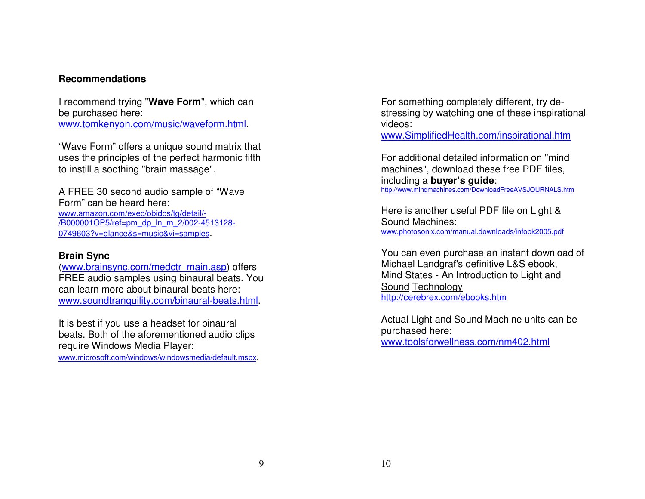#### **Recommendations**

I recommend trying "**Wave Form**", which can be purchased here: www.tomkenyon.com/music/waveform.html.

"Wave Form" offers a unique sound matrix that uses the principles of the perfect harmonic fifth to instill a soothing "brain massage".

A FREE 30 second audio sample of "Wave Form" can be heard here: www.amazon.com/exec/obidos/tg/detail/- /B000001OP5/ref=pm\_dp\_ln\_m\_2/002-4513128-0749603?v=glance&s=music&vi=samples.

#### **Brain Sync**

(www.brainsync.com/medctr\_main.asp) offers FREE audio samples using binaural beats. You can learn more about binaural beats here: www.soundtranquility.com/binaural-beats.html.

It is best if you use a headset for binaural beats. Both of the aforementioned audio clips require Windows Media Player:

www.microsoft.com/windows/windowsmedia/default.mspx.

For something completely different, try destressing by watching one of these inspirational videos:

www.SimplifiedHealth.com/inspirational.htm

For additional detailed information on "mind machines", download these free PDF files, including a **buyer's guide**: http://www.mindmachines.com/DownloadFreeAVSJOURNALS.htm

Here is another useful PDF file on Light & Sound Machines: www.photosonix.com/manual.downloads/infobk2005.pdf

You can even purchase an instant download of Michael Landgraf's definitive L&S ebook, Mind States - An Introduction to Light andSound Technologyhttp://cerebrex.com/ebooks.htm

Actual Light and Sound Machine units can be purchased here:www.toolsforwellness.com/nm402.html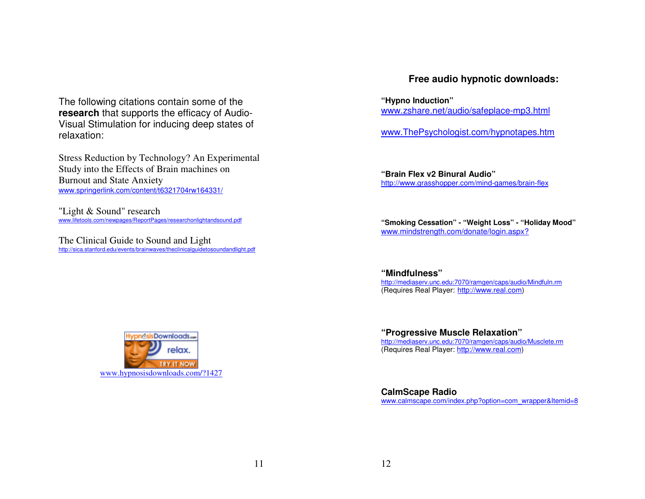The following citations contain some of the **research** that supports the efficacy of Audio-Visual Stimulation for inducing deep states of relaxation:

Stress Reduction by Technology? An Experimental Study into the Effects of Brain machines on Burnout and State Anxiety www.springerlink.com/content/t6321704rw164331/

"Light & Sound" research www.lifetools.com/newpages/ReportPages/researchonlightandsound.pdf

The Clinical Guide to Sound and Light<br>http://sica.stanford.edu/events/brainwaves/theclinicalguidetosoundandlight.pdf

### **Free audio hypnotic downloads:**

**"Hypno Induction"**www.zshare.net/audio/safeplace-mp3.html

www.ThePsychologist.com/hypnotapes.htm

**"Brain Flex v2 Binural Audio"**http://www.grasshopper.com/mind-games/brain-flex

**"Smoking Cessation" - "Weight Loss" - "Holiday Mood"**www.mindstrength.com/donate/login.aspx?

**"Mindfulness"** http://mediaserv.unc.edu:7070/ramgen/caps/audio/Mindfuln.rm(Requires Real Player: <u>http://www.real.com</u>)

**"Progressive Muscle Relaxation"** http://mediaserv.unc.edu:7070/ramgen/caps/audio/Musclete.rm(Requires Real Player: http://www.real.com)

**CalmScape Radio**www.calmscape.com/index.php?option=com\_wrapper&Itemid=8